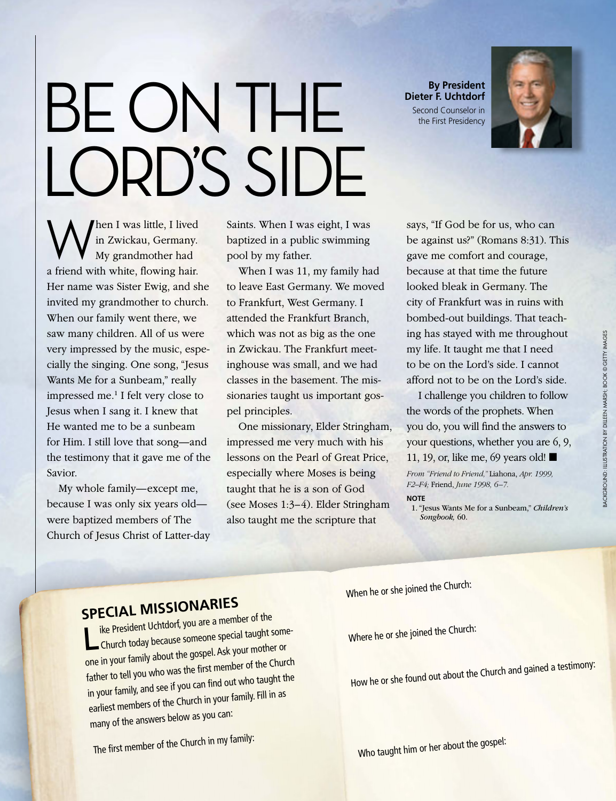## BE ON THE LORD'S SIDE

**By President Dieter F. Uchtdorf** Second Counselor in the First Presidency



When I was little, I lived<br>in Zwickau, Germany.<br>My grandmother had in Zwickau, Germany. My grandmother had a friend with white, flowing hair. Her name was Sister Ewig, and she invited my grandmother to church. When our family went there, we saw many children. All of us were very impressed by the music, especially the singing. One song, "Jesus Wants Me for a Sunbeam," really impressed me.<sup>1</sup> I felt very close to Jesus when I sang it. I knew that He wanted me to be a sunbeam for Him. I still love that song—and the testimony that it gave me of the Savior.

My whole family—except me, because I was only six years old were baptized members of The Church of Jesus Christ of Latter-day Saints. When I was eight, I was baptized in a public swimming pool by my father.

When I was 11, my family had to leave East Germany. We moved to Frankfurt, West Germany. I attended the Frankfurt Branch, which was not as big as the one in Zwickau. The Frankfurt meetinghouse was small, and we had classes in the basement. The missionaries taught us important gospel principles.

One missionary, Elder Stringham, impressed me very much with his lessons on the Pearl of Great Price, especially where Moses is being taught that he is a son of God (see Moses 1:3–4). Elder Stringham also taught me the scripture that

says, "If God be for us, who can be against us?" (Romans 8:31). This gave me comfort and courage, because at that time the future looked bleak in Germany. The city of Frankfurt was in ruins with bombed-out buildings. That teaching has stayed with me throughout my life. It taught me that I need to be on the Lord's side. I cannot afford not to be on the Lord's side.

I challenge you children to follow the words of the prophets. When you do, you will find the answers to your questions, whether you are 6, 9, 11, 19, or, like me, 69 years old!

*From "Friend to Friend,"* Liahona, *Apr. 1999, F2–F4;* Friend, *June 1998, 6–7.*

**Note**

1. "Jesus Wants Me for a Sunbeam," *Children's Songbook,* 60.

**SPECIAL MISSIONARIES**<br>I ike President Uchtdorf, you are a member of the **Like President Uchtdorf, you are a member of the<br>
Church today because someone special taught some-<br>
Church today because someone special taught some**one in your family about the gospel. Ask your mother or father to tell you who was the first member of the Churc<sup>h</sup> in your family, and see if you can find out who taught the earliest members of the Church in your family. Fill in as many of the answers below as you can:

The first member of the Church in my family:

When he or she joined the Church:

Where he or she joined the Church:

How he or she found out about the Church and gained a testimony:

Who taught him or her about the gospel: